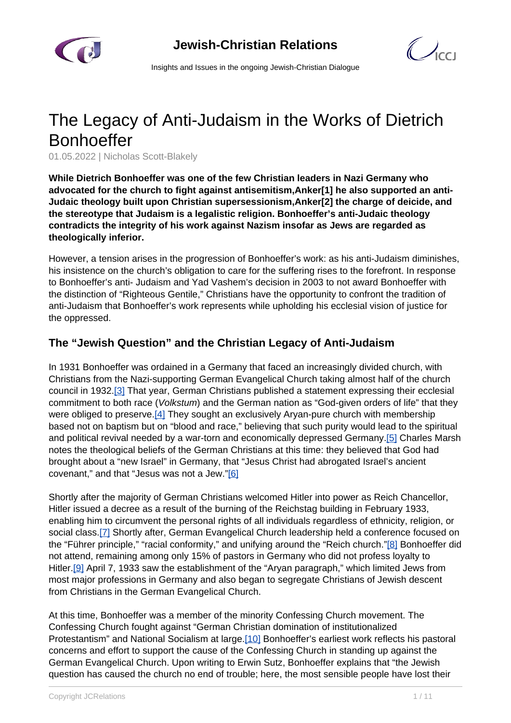

 $\mathcal{C}$ 

Insights and Issues in the ongoing Jewish-Christian Dialogue

# The Legacy of Anti-Judaism in the Works of Dietrich **Bonhoeffer**

01.05.2022 | Nicholas Scott-Blakely

**While Dietrich Bonhoeffer was one of the few Christian leaders in Nazi Germany who advocated for the church to fight against antisemitism,Anker[1] he also supported an anti-Judaic theology built upon Christian supersessionism,Anker[2] the charge of deicide, and the stereotype that Judaism is a legalistic religion. Bonhoeffer's anti-Judaic theology contradicts the integrity of his work against Nazism insofar as Jews are regarded as theologically inferior.**

However, a tension arises in the progression of Bonhoeffer's work: as his anti-Judaism diminishes, his insistence on the church's obligation to care for the suffering rises to the forefront. In response to Bonhoeffer's anti- Judaism and Yad Vashem's decision in 2003 to not award Bonhoeffer with the distinction of "Righteous Gentile," Christians have the opportunity to confront the tradition of anti-Judaism that Bonhoeffer's work represents while upholding his ecclesial vision of justice for the oppressed.

# **The "Jewish Question" and the Christian Legacy of Anti-Judaism**

In 1931 Bonhoeffer was ordained in a Germany that faced an increasingly divided church, with Christians from the Nazi-supporting German Evangelical Church taking almost half of the church council in 1932.[3] That year, German Christians published a statement expressing their ecclesial commitment to both race (Volkstum) and the German nation as "God-given orders of life" that they were obliged to preserve.<sup>[4]</sup> They sought an exclusively Aryan-pure church with membership based not on baptism but on "blood and race," believing that such purity would lead to the spiritual and political revival needed by a war-torn and economically depressed Germany.[5] Charles Marsh notes the theological beliefs of the German Christians at this time: they believed that God had brought about a "new Israel" in Germany, that "Jesus Christ had abrogated Israel's ancient covenant," and that "Jesus was not a Jew."[6]

Shortly after the majority of German Christians welcomed Hitler into power as Reich Chancellor, Hitler issued a decree as a result of the burning of the Reichstag building in February 1933, enabling him to circumvent the personal rights of all individuals regardless of ethnicity, religion, or social class.[7] Shortly after, German Evangelical Church leadership held a conference focused on the "Führer principle," "racial conformity," and unifying around the "Reich church."[8] Bonhoeffer did not attend, remaining among only 15% of pastors in Germany who did not profess loyalty to Hitler.<sup>[9]</sup> April 7, 1933 saw the establishment of the "Aryan paragraph," which limited Jews from most major professions in Germany and also began to segregate Christians of Jewish descent from Christians in the German Evangelical Church.

At this time, Bonhoeffer was a member of the minority Confessing Church movement. The Confessing Church fought against "German Christian domination of institutionalized Protestantism" and National Socialism at large.[10] Bonhoeffer's earliest work reflects his pastoral concerns and effort to support the cause of the Confessing Church in standing up against the German Evangelical Church. Upon writing to Erwin Sutz, Bonhoeffer explains that "the Jewish question has caused the church no end of trouble; here, the most sensible people have lost their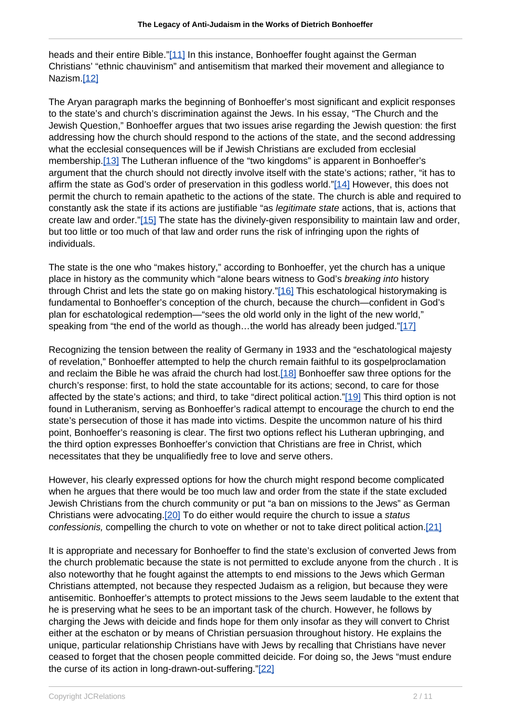heads and their entire Bible."[11] In this instance, Bonhoeffer fought against the German Christians' "ethnic chauvinism" and antisemitism that marked their movement and allegiance to Nazism.[12]

The Aryan paragraph marks the beginning of Bonhoeffer's most significant and explicit responses to the state's and church's discrimination against the Jews. In his essay, "The Church and the Jewish Question," Bonhoeffer argues that two issues arise regarding the Jewish question: the first addressing how the church should respond to the actions of the state, and the second addressing what the ecclesial consequences will be if Jewish Christians are excluded from ecclesial membership.[13] The Lutheran influence of the "two kingdoms" is apparent in Bonhoeffer's argument that the church should not directly involve itself with the state's actions; rather, "it has to affirm the state as God's order of preservation in this godless world."[14] However, this does not permit the church to remain apathetic to the actions of the state. The church is able and required to constantly ask the state if its actions are justifiable "as legitimate state actions, that is, actions that create law and order."[15] The state has the divinely-given responsibility to maintain law and order, but too little or too much of that law and order runs the risk of infringing upon the rights of individuals.

The state is the one who "makes history," according to Bonhoeffer, yet the church has a unique place in history as the community which "alone bears witness to God's breaking into history through Christ and lets the state go on making history."[16] This eschatological historymaking is fundamental to Bonhoeffer's conception of the church, because the church—confident in God's plan for eschatological redemption—"sees the old world only in the light of the new world," speaking from "the end of the world as though…the world has already been judged."[17]

Recognizing the tension between the reality of Germany in 1933 and the "eschatological majesty of revelation," Bonhoeffer attempted to help the church remain faithful to its gospelproclamation and reclaim the Bible he was afraid the church had lost.[18] Bonhoeffer saw three options for the church's response: first, to hold the state accountable for its actions; second, to care for those affected by the state's actions; and third, to take "direct political action."[19] This third option is not found in Lutheranism, serving as Bonhoeffer's radical attempt to encourage the church to end the state's persecution of those it has made into victims. Despite the uncommon nature of his third point, Bonhoeffer's reasoning is clear. The first two options reflect his Lutheran upbringing, and the third option expresses Bonhoeffer's conviction that Christians are free in Christ, which necessitates that they be unqualifiedly free to love and serve others.

However, his clearly expressed options for how the church might respond become complicated when he argues that there would be too much law and order from the state if the state excluded Jewish Christians from the church community or put "a ban on missions to the Jews" as German Christians were advocating.[20] To do either would require the church to issue a status confessionis, compelling the church to vote on whether or not to take direct political action.[21]

It is appropriate and necessary for Bonhoeffer to find the state's exclusion of converted Jews from the church problematic because the state is not permitted to exclude anyone from the church . It is also noteworthy that he fought against the attempts to end missions to the Jews which German Christians attempted, not because they respected Judaism as a religion, but because they were antisemitic. Bonhoeffer's attempts to protect missions to the Jews seem laudable to the extent that he is preserving what he sees to be an important task of the church. However, he follows by charging the Jews with deicide and finds hope for them only insofar as they will convert to Christ either at the eschaton or by means of Christian persuasion throughout history. He explains the unique, particular relationship Christians have with Jews by recalling that Christians have never ceased to forget that the chosen people committed deicide. For doing so, the Jews "must endure the curse of its action in long-drawn-out-suffering."[22]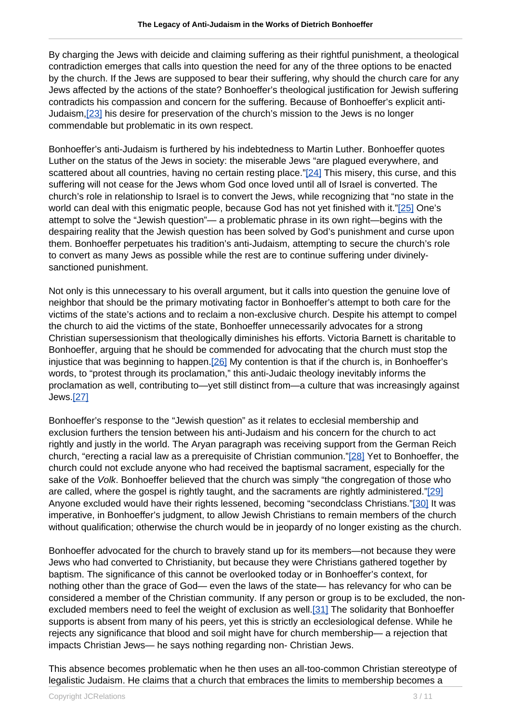By charging the Jews with deicide and claiming suffering as their rightful punishment, a theological contradiction emerges that calls into question the need for any of the three options to be enacted by the church. If the Jews are supposed to bear their suffering, why should the church care for any Jews affected by the actions of the state? Bonhoeffer's theological justification for Jewish suffering contradicts his compassion and concern for the suffering. Because of Bonhoeffer's explicit anti-Judaism,[23] his desire for preservation of the church's mission to the Jews is no longer commendable but problematic in its own respect.

Bonhoeffer's anti-Judaism is furthered by his indebtedness to Martin Luther. Bonhoeffer quotes Luther on the status of the Jews in society: the miserable Jews "are plagued everywhere, and scattered about all countries, having no certain resting place."[24] This misery, this curse, and this suffering will not cease for the Jews whom God once loved until all of Israel is converted. The church's role in relationship to Israel is to convert the Jews, while recognizing that "no state in the world can deal with this enigmatic people, because God has not yet finished with it."[25] One's attempt to solve the "Jewish question"— a problematic phrase in its own right—begins with the despairing reality that the Jewish question has been solved by God's punishment and curse upon them. Bonhoeffer perpetuates his tradition's anti-Judaism, attempting to secure the church's role to convert as many Jews as possible while the rest are to continue suffering under divinelysanctioned punishment.

Not only is this unnecessary to his overall argument, but it calls into question the genuine love of neighbor that should be the primary motivating factor in Bonhoeffer's attempt to both care for the victims of the state's actions and to reclaim a non-exclusive church. Despite his attempt to compel the church to aid the victims of the state, Bonhoeffer unnecessarily advocates for a strong Christian supersessionism that theologically diminishes his efforts. Victoria Barnett is charitable to Bonhoeffer, arguing that he should be commended for advocating that the church must stop the injustice that was beginning to happen.<sup>[26]</sup> My contention is that if the church is, in Bonhoeffer's words, to "protest through its proclamation," this anti-Judaic theology inevitably informs the proclamation as well, contributing to—yet still distinct from—a culture that was increasingly against Jews.[27]

Bonhoeffer's response to the "Jewish question" as it relates to ecclesial membership and exclusion furthers the tension between his anti-Judaism and his concern for the church to act rightly and justly in the world. The Aryan paragraph was receiving support from the German Reich church, "erecting a racial law as a prerequisite of Christian communion."[28] Yet to Bonhoeffer, the church could not exclude anyone who had received the baptismal sacrament, especially for the sake of the *Volk*. Bonhoeffer believed that the church was simply "the congregation of those who are called, where the gospel is rightly taught, and the sacraments are rightly administered."[29] Anyone excluded would have their rights lessened, becoming "secondclass Christians."[30] It was imperative, in Bonhoeffer's judgment, to allow Jewish Christians to remain members of the church without qualification; otherwise the church would be in jeopardy of no longer existing as the church.

Bonhoeffer advocated for the church to bravely stand up for its members—not because they were Jews who had converted to Christianity, but because they were Christians gathered together by baptism. The significance of this cannot be overlooked today or in Bonhoeffer's context, for nothing other than the grace of God— even the laws of the state— has relevancy for who can be considered a member of the Christian community. If any person or group is to be excluded, the nonexcluded members need to feel the weight of exclusion as well.[31] The solidarity that Bonhoeffer supports is absent from many of his peers, yet this is strictly an ecclesiological defense. While he rejects any significance that blood and soil might have for church membership— a rejection that impacts Christian Jews— he says nothing regarding non- Christian Jews.

This absence becomes problematic when he then uses an all-too-common Christian stereotype of legalistic Judaism. He claims that a church that embraces the limits to membership becomes a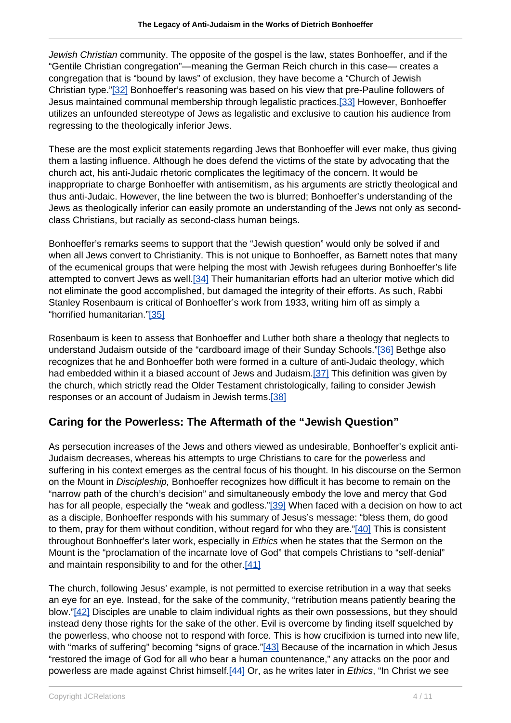Jewish Christian community. The opposite of the gospel is the law, states Bonhoeffer, and if the "Gentile Christian congregation"—meaning the German Reich church in this case— creates a congregation that is "bound by laws" of exclusion, they have become a "Church of Jewish Christian type."[32] Bonhoeffer's reasoning was based on his view that pre-Pauline followers of Jesus maintained communal membership through legalistic practices.[33] However, Bonhoeffer utilizes an unfounded stereotype of Jews as legalistic and exclusive to caution his audience from regressing to the theologically inferior Jews.

These are the most explicit statements regarding Jews that Bonhoeffer will ever make, thus giving them a lasting influence. Although he does defend the victims of the state by advocating that the church act, his anti-Judaic rhetoric complicates the legitimacy of the concern. It would be inappropriate to charge Bonhoeffer with antisemitism, as his arguments are strictly theological and thus anti-Judaic. However, the line between the two is blurred; Bonhoeffer's understanding of the Jews as theologically inferior can easily promote an understanding of the Jews not only as secondclass Christians, but racially as second-class human beings.

Bonhoeffer's remarks seems to support that the "Jewish question" would only be solved if and when all Jews convert to Christianity. This is not unique to Bonhoeffer, as Barnett notes that many of the ecumenical groups that were helping the most with Jewish refugees during Bonhoeffer's life attempted to convert Jews as well.[34] Their humanitarian efforts had an ulterior motive which did not eliminate the good accomplished, but damaged the integrity of their efforts. As such, Rabbi Stanley Rosenbaum is critical of Bonhoeffer's work from 1933, writing him off as simply a "horrified humanitarian."[35]

Rosenbaum is keen to assess that Bonhoeffer and Luther both share a theology that neglects to understand Judaism outside of the "cardboard image of their Sunday Schools."[36] Bethge also recognizes that he and Bonhoeffer both were formed in a culture of anti-Judaic theology, which had embedded within it a biased account of Jews and Judaism.[37] This definition was given by the church, which strictly read the Older Testament christologically, failing to consider Jewish responses or an account of Judaism in Jewish terms.[38]

# **Caring for the Powerless: The Aftermath of the "Jewish Question"**

As persecution increases of the Jews and others viewed as undesirable, Bonhoeffer's explicit anti-Judaism decreases, whereas his attempts to urge Christians to care for the powerless and suffering in his context emerges as the central focus of his thought. In his discourse on the Sermon on the Mount in Discipleship, Bonhoeffer recognizes how difficult it has become to remain on the "narrow path of the church's decision" and simultaneously embody the love and mercy that God has for all people, especially the "weak and godless."[39] When faced with a decision on how to act as a disciple, Bonhoeffer responds with his summary of Jesus's message: "bless them, do good to them, pray for them without condition, without regard for who they are."[40] This is consistent throughout Bonhoeffer's later work, especially in *Ethics* when he states that the Sermon on the Mount is the "proclamation of the incarnate love of God" that compels Christians to "self-denial" and maintain responsibility to and for the other.[41]

The church, following Jesus' example, is not permitted to exercise retribution in a way that seeks an eye for an eye. Instead, for the sake of the community, "retribution means patiently bearing the blow."[42] Disciples are unable to claim individual rights as their own possessions, but they should instead deny those rights for the sake of the other. Evil is overcome by finding itself squelched by the powerless, who choose not to respond with force. This is how crucifixion is turned into new life, with "marks of suffering" becoming "signs of grace."[43] Because of the incarnation in which Jesus "restored the image of God for all who bear a human countenance," any attacks on the poor and powerless are made against Christ himself.<sup>[44]</sup> Or, as he writes later in *Ethics*, "In Christ we see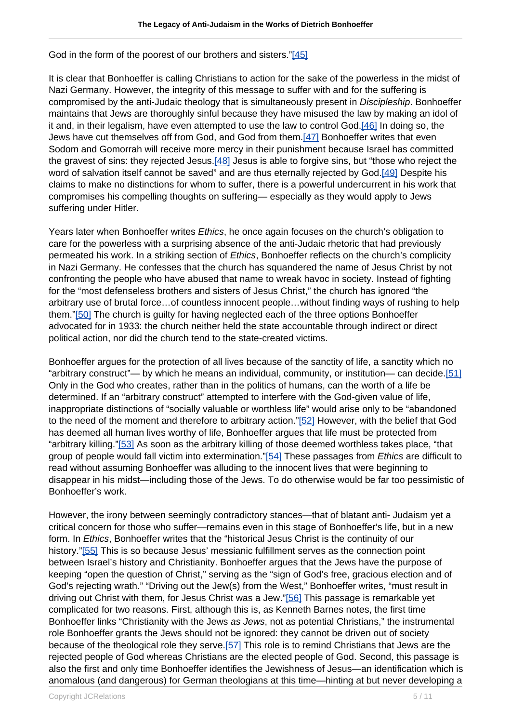God in the form of the poorest of our brothers and sisters."[45]

It is clear that Bonhoeffer is calling Christians to action for the sake of the powerless in the midst of Nazi Germany. However, the integrity of this message to suffer with and for the suffering is compromised by the anti-Judaic theology that is simultaneously present in Discipleship. Bonhoeffer maintains that Jews are thoroughly sinful because they have misused the law by making an idol of it and, in their legalism, have even attempted to use the law to control God.[46] In doing so, the Jews have cut themselves off from God, and God from them.[47] Bonhoeffer writes that even Sodom and Gomorrah will receive more mercy in their punishment because Israel has committed the gravest of sins: they rejected Jesus.[48] Jesus is able to forgive sins, but "those who reject the word of salvation itself cannot be saved" and are thus eternally rejected by God.[49] Despite his claims to make no distinctions for whom to suffer, there is a powerful undercurrent in his work that compromises his compelling thoughts on suffering— especially as they would apply to Jews suffering under Hitler.

Years later when Bonhoeffer writes Ethics, he once again focuses on the church's obligation to care for the powerless with a surprising absence of the anti-Judaic rhetoric that had previously permeated his work. In a striking section of *Ethics*, Bonhoeffer reflects on the church's complicity in Nazi Germany. He confesses that the church has squandered the name of Jesus Christ by not confronting the people who have abused that name to wreak havoc in society. Instead of fighting for the "most defenseless brothers and sisters of Jesus Christ," the church has ignored "the arbitrary use of brutal force…of countless innocent people…without finding ways of rushing to help them."[50] The church is guilty for having neglected each of the three options Bonhoeffer advocated for in 1933: the church neither held the state accountable through indirect or direct political action, nor did the church tend to the state-created victims.

Bonhoeffer argues for the protection of all lives because of the sanctity of life, a sanctity which no "arbitrary construct"— by which he means an individual, community, or institution— can decide.[51] Only in the God who creates, rather than in the politics of humans, can the worth of a life be determined. If an "arbitrary construct" attempted to interfere with the God-given value of life, inappropriate distinctions of "socially valuable or worthless life" would arise only to be "abandoned to the need of the moment and therefore to arbitrary action."[52] However, with the belief that God has deemed all human lives worthy of life, Bonhoeffer argues that life must be protected from "arbitrary killing."[53] As soon as the arbitrary killing of those deemed worthless takes place, "that group of people would fall victim into extermination."[54] These passages from Ethics are difficult to read without assuming Bonhoeffer was alluding to the innocent lives that were beginning to disappear in his midst—including those of the Jews. To do otherwise would be far too pessimistic of Bonhoeffer's work.

However, the irony between seemingly contradictory stances—that of blatant anti- Judaism yet a critical concern for those who suffer—remains even in this stage of Bonhoeffer's life, but in a new form. In Ethics, Bonhoeffer writes that the "historical Jesus Christ is the continuity of our history."[55] This is so because Jesus' messianic fulfillment serves as the connection point between Israel's history and Christianity. Bonhoeffer argues that the Jews have the purpose of keeping "open the question of Christ," serving as the "sign of God's free, gracious election and of God's rejecting wrath." "Driving out the Jew(s) from the West," Bonhoeffer writes, "must result in driving out Christ with them, for Jesus Christ was a Jew."[56] This passage is remarkable yet complicated for two reasons. First, although this is, as Kenneth Barnes notes, the first time Bonhoeffer links "Christianity with the Jews as Jews, not as potential Christians," the instrumental role Bonhoeffer grants the Jews should not be ignored: they cannot be driven out of society because of the theological role they serve.[57] This role is to remind Christians that Jews are the rejected people of God whereas Christians are the elected people of God. Second, this passage is also the first and only time Bonhoeffer identifies the Jewishness of Jesus—an identification which is anomalous (and dangerous) for German theologians at this time—hinting at but never developing a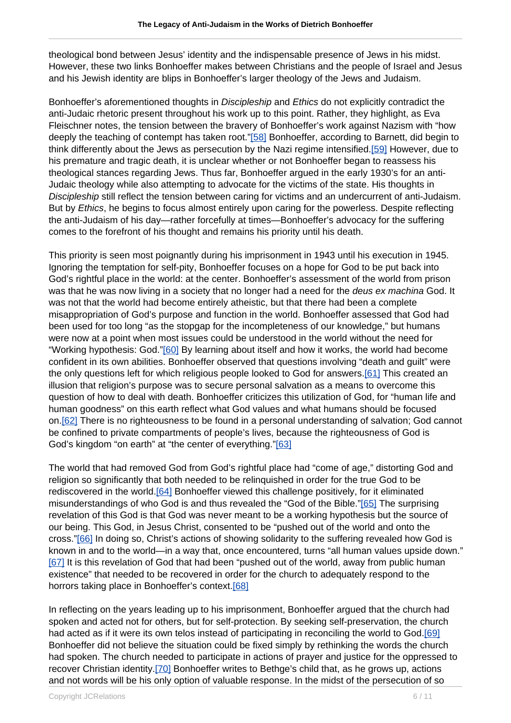theological bond between Jesus' identity and the indispensable presence of Jews in his midst. However, these two links Bonhoeffer makes between Christians and the people of Israel and Jesus and his Jewish identity are blips in Bonhoeffer's larger theology of the Jews and Judaism.

Bonhoeffer's aforementioned thoughts in *Discipleship* and *Ethics* do not explicitly contradict the anti-Judaic rhetoric present throughout his work up to this point. Rather, they highlight, as Eva Fleischner notes, the tension between the bravery of Bonhoeffer's work against Nazism with "how deeply the teaching of contempt has taken root."[58] Bonhoeffer, according to Barnett, did begin to think differently about the Jews as persecution by the Nazi regime intensified.[59] However, due to his premature and tragic death, it is unclear whether or not Bonhoeffer began to reassess his theological stances regarding Jews. Thus far, Bonhoeffer argued in the early 1930's for an anti-Judaic theology while also attempting to advocate for the victims of the state. His thoughts in Discipleship still reflect the tension between caring for victims and an undercurrent of anti-Judaism. But by *Ethics*, he begins to focus almost entirely upon caring for the powerless. Despite reflecting the anti-Judaism of his day—rather forcefully at times—Bonhoeffer's advocacy for the suffering comes to the forefront of his thought and remains his priority until his death.

This priority is seen most poignantly during his imprisonment in 1943 until his execution in 1945. Ignoring the temptation for self-pity, Bonhoeffer focuses on a hope for God to be put back into God's rightful place in the world: at the center. Bonhoeffer's assessment of the world from prison was that he was now living in a society that no longer had a need for the *deus ex machina* God. It was not that the world had become entirely atheistic, but that there had been a complete misappropriation of God's purpose and function in the world. Bonhoeffer assessed that God had been used for too long "as the stopgap for the incompleteness of our knowledge," but humans were now at a point when most issues could be understood in the world without the need for "Working hypothesis: God."[60] By learning about itself and how it works, the world had become confident in its own abilities. Bonhoeffer observed that questions involving "death and guilt" were the only questions left for which religious people looked to God for answers.[61] This created an illusion that religion's purpose was to secure personal salvation as a means to overcome this question of how to deal with death. Bonhoeffer criticizes this utilization of God, for "human life and human goodness" on this earth reflect what God values and what humans should be focused on.[62] There is no righteousness to be found in a personal understanding of salvation; God cannot be confined to private compartments of people's lives, because the righteousness of God is God's kingdom "on earth" at "the center of everything."[63]

The world that had removed God from God's rightful place had "come of age," distorting God and religion so significantly that both needed to be relinquished in order for the true God to be rediscovered in the world.[64] Bonhoeffer viewed this challenge positively, for it eliminated misunderstandings of who God is and thus revealed the "God of the Bible."[65] The surprising revelation of this God is that God was never meant to be a working hypothesis but the source of our being. This God, in Jesus Christ, consented to be "pushed out of the world and onto the cross."[66] In doing so, Christ's actions of showing solidarity to the suffering revealed how God is known in and to the world—in a way that, once encountered, turns "all human values upside down." [67] It is this revelation of God that had been "pushed out of the world, away from public human existence" that needed to be recovered in order for the church to adequately respond to the horrors taking place in Bonhoeffer's context.[68]

In reflecting on the years leading up to his imprisonment, Bonhoeffer argued that the church had spoken and acted not for others, but for self-protection. By seeking self-preservation, the church had acted as if it were its own telos instead of participating in reconciling the world to God.[69] Bonhoeffer did not believe the situation could be fixed simply by rethinking the words the church had spoken. The church needed to participate in actions of prayer and justice for the oppressed to recover Christian identity.[70] Bonhoeffer writes to Bethge's child that, as he grows up, actions and not words will be his only option of valuable response. In the midst of the persecution of so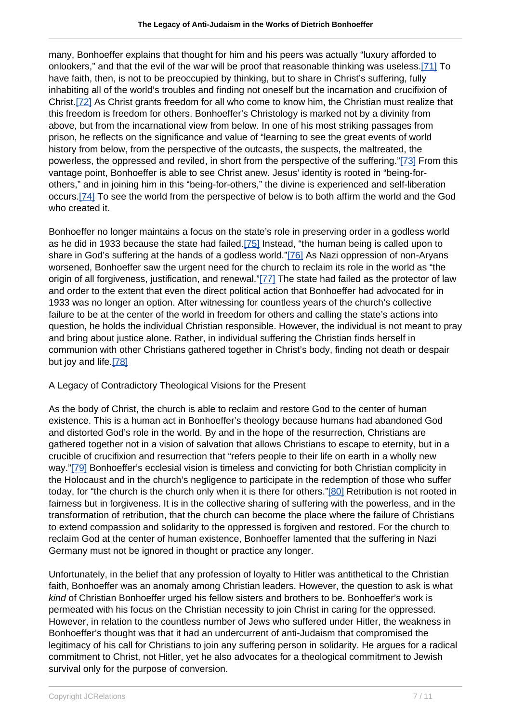many, Bonhoeffer explains that thought for him and his peers was actually "luxury afforded to onlookers," and that the evil of the war will be proof that reasonable thinking was useless.[71] To have faith, then, is not to be preoccupied by thinking, but to share in Christ's suffering, fully inhabiting all of the world's troubles and finding not oneself but the incarnation and crucifixion of Christ.[72] As Christ grants freedom for all who come to know him, the Christian must realize that this freedom is freedom for others. Bonhoeffer's Christology is marked not by a divinity from above, but from the incarnational view from below. In one of his most striking passages from prison, he reflects on the significance and value of "learning to see the great events of world history from below, from the perspective of the outcasts, the suspects, the maltreated, the powerless, the oppressed and reviled, in short from the perspective of the suffering."[73] From this vantage point, Bonhoeffer is able to see Christ anew. Jesus' identity is rooted in "being-forothers," and in joining him in this "being-for-others," the divine is experienced and self-liberation occurs.[74] To see the world from the perspective of below is to both affirm the world and the God who created it.

Bonhoeffer no longer maintains a focus on the state's role in preserving order in a godless world as he did in 1933 because the state had failed.[75] Instead, "the human being is called upon to share in God's suffering at the hands of a godless world."[76] As Nazi oppression of non-Aryans worsened, Bonhoeffer saw the urgent need for the church to reclaim its role in the world as "the origin of all forgiveness, justification, and renewal."[77] The state had failed as the protector of law and order to the extent that even the direct political action that Bonhoeffer had advocated for in 1933 was no longer an option. After witnessing for countless years of the church's collective failure to be at the center of the world in freedom for others and calling the state's actions into question, he holds the individual Christian responsible. However, the individual is not meant to pray and bring about justice alone. Rather, in individual suffering the Christian finds herself in communion with other Christians gathered together in Christ's body, finding not death or despair but joy and life.[78]

## A Legacy of Contradictory Theological Visions for the Present

As the body of Christ, the church is able to reclaim and restore God to the center of human existence. This is a human act in Bonhoeffer's theology because humans had abandoned God and distorted God's role in the world. By and in the hope of the resurrection, Christians are gathered together not in a vision of salvation that allows Christians to escape to eternity, but in a crucible of crucifixion and resurrection that "refers people to their life on earth in a wholly new way."[79] Bonhoeffer's ecclesial vision is timeless and convicting for both Christian complicity in the Holocaust and in the church's negligence to participate in the redemption of those who suffer today, for "the church is the church only when it is there for others."[80] Retribution is not rooted in fairness but in forgiveness. It is in the collective sharing of suffering with the powerless, and in the transformation of retribution, that the church can become the place where the failure of Christians to extend compassion and solidarity to the oppressed is forgiven and restored. For the church to reclaim God at the center of human existence, Bonhoeffer lamented that the suffering in Nazi Germany must not be ignored in thought or practice any longer.

Unfortunately, in the belief that any profession of loyalty to Hitler was antithetical to the Christian faith, Bonhoeffer was an anomaly among Christian leaders. However, the question to ask is what kind of Christian Bonhoeffer urged his fellow sisters and brothers to be. Bonhoeffer's work is permeated with his focus on the Christian necessity to join Christ in caring for the oppressed. However, in relation to the countless number of Jews who suffered under Hitler, the weakness in Bonhoeffer's thought was that it had an undercurrent of anti-Judaism that compromised the legitimacy of his call for Christians to join any suffering person in solidarity. He argues for a radical commitment to Christ, not Hitler, yet he also advocates for a theological commitment to Jewish survival only for the purpose of conversion.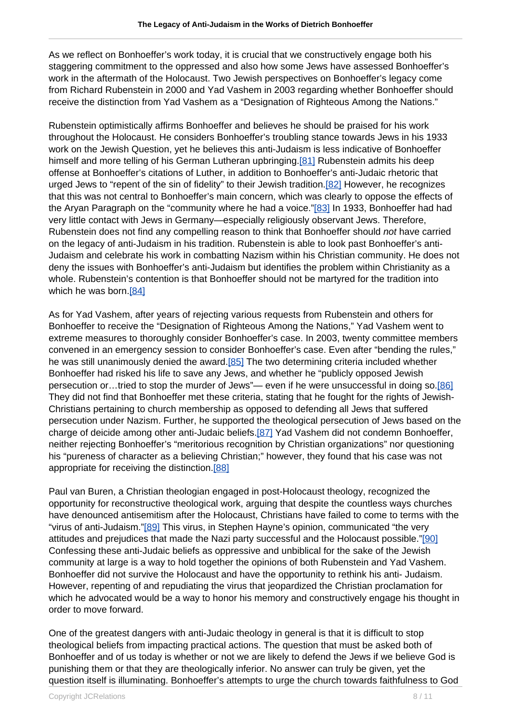As we reflect on Bonhoeffer's work today, it is crucial that we constructively engage both his staggering commitment to the oppressed and also how some Jews have assessed Bonhoeffer's work in the aftermath of the Holocaust. Two Jewish perspectives on Bonhoeffer's legacy come from Richard Rubenstein in 2000 and Yad Vashem in 2003 regarding whether Bonhoeffer should receive the distinction from Yad Vashem as a "Designation of Righteous Among the Nations."

Rubenstein optimistically affirms Bonhoeffer and believes he should be praised for his work throughout the Holocaust. He considers Bonhoeffer's troubling stance towards Jews in his 1933 work on the Jewish Question, yet he believes this anti-Judaism is less indicative of Bonhoeffer himself and more telling of his German Lutheran upbringing.[81] Rubenstein admits his deep offense at Bonhoeffer's citations of Luther, in addition to Bonhoeffer's anti-Judaic rhetoric that urged Jews to "repent of the sin of fidelity" to their Jewish tradition.[82] However, he recognizes that this was not central to Bonhoeffer's main concern, which was clearly to oppose the effects of the Aryan Paragraph on the "community where he had a voice."[83] In 1933, Bonhoeffer had had very little contact with Jews in Germany—especially religiously observant Jews. Therefore, Rubenstein does not find any compelling reason to think that Bonhoeffer should not have carried on the legacy of anti-Judaism in his tradition. Rubenstein is able to look past Bonhoeffer's anti-Judaism and celebrate his work in combatting Nazism within his Christian community. He does not deny the issues with Bonhoeffer's anti-Judaism but identifies the problem within Christianity as a whole. Rubenstein's contention is that Bonhoeffer should not be martyred for the tradition into which he was born.[84]

As for Yad Vashem, after years of rejecting various requests from Rubenstein and others for Bonhoeffer to receive the "Designation of Righteous Among the Nations," Yad Vashem went to extreme measures to thoroughly consider Bonhoeffer's case. In 2003, twenty committee members convened in an emergency session to consider Bonhoeffer's case. Even after "bending the rules," he was still unanimously denied the award.<sup>[85]</sup> The two determining criteria included whether Bonhoeffer had risked his life to save any Jews, and whether he "publicly opposed Jewish persecution or...tried to stop the murder of Jews"- even if he were unsuccessful in doing so.[86] They did not find that Bonhoeffer met these criteria, stating that he fought for the rights of Jewish-Christians pertaining to church membership as opposed to defending all Jews that suffered persecution under Nazism. Further, he supported the theological persecution of Jews based on the charge of deicide among other anti-Judaic beliefs.[87] Yad Vashem did not condemn Bonhoeffer, neither rejecting Bonhoeffer's "meritorious recognition by Christian organizations" nor questioning his "pureness of character as a believing Christian;" however, they found that his case was not appropriate for receiving the distinction.[88]

Paul van Buren, a Christian theologian engaged in post-Holocaust theology, recognized the opportunity for reconstructive theological work, arguing that despite the countless ways churches have denounced antisemitism after the Holocaust, Christians have failed to come to terms with the "virus of anti-Judaism."[89] This virus, in Stephen Hayne's opinion, communicated "the very attitudes and prejudices that made the Nazi party successful and the Holocaust possible."[90] Confessing these anti-Judaic beliefs as oppressive and unbiblical for the sake of the Jewish community at large is a way to hold together the opinions of both Rubenstein and Yad Vashem. Bonhoeffer did not survive the Holocaust and have the opportunity to rethink his anti- Judaism. However, repenting of and repudiating the virus that jeopardized the Christian proclamation for which he advocated would be a way to honor his memory and constructively engage his thought in order to move forward.

One of the greatest dangers with anti-Judaic theology in general is that it is difficult to stop theological beliefs from impacting practical actions. The question that must be asked both of Bonhoeffer and of us today is whether or not we are likely to defend the Jews if we believe God is punishing them or that they are theologically inferior. No answer can truly be given, yet the question itself is illuminating. Bonhoeffer's attempts to urge the church towards faithfulness to God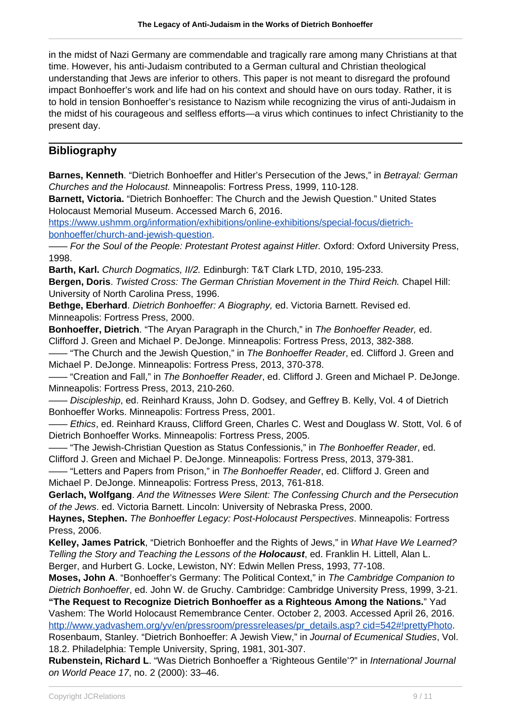in the midst of Nazi Germany are commendable and tragically rare among many Christians at that time. However, his anti-Judaism contributed to a German cultural and Christian theological understanding that Jews are inferior to others. This paper is not meant to disregard the profound impact Bonhoeffer's work and life had on his context and should have on ours today. Rather, it is to hold in tension Bonhoeffer's resistance to Nazism while recognizing the virus of anti-Judaism in the midst of his courageous and selfless efforts—a virus which continues to infect Christianity to the present day.

## **Bibliography**

**Barnes, Kenneth.** "Dietrich Bonhoeffer and Hitler's Persecution of the Jews." in Betraval: German Churches and the Holocaust. Minneapolis: Fortress Press, 1999, 110-128.

**Barnett, Victoria.** "Dietrich Bonhoeffer: The Church and the Jewish Question." United States Holocaust Memorial Museum. Accessed March 6, 2016.

[https://www.ushmm.org/information/exhibitions/online-exhibitions/special-focus/dietrich](https://www.ushmm.org/information/exhibitions/online-exhibitions/special-focus/dietrich-bonhoeffer/church-and-jewish-question)[bonhoeffer/church-and-jewish-question.](https://www.ushmm.org/information/exhibitions/online-exhibitions/special-focus/dietrich-bonhoeffer/church-and-jewish-question)

- For the Soul of the People: Protestant Protest against Hitler. Oxford: Oxford University Press, 1998.

**Barth, Karl.** Church Dogmatics, II/2. Edinburgh: T&T Clark LTD, 2010, 195-233.

**Bergen, Doris**. Twisted Cross: The German Christian Movement in the Third Reich. Chapel Hill: University of North Carolina Press, 1996.

Bethae. Eberhard. Dietrich Bonhoeffer: A Biography, ed. Victoria Barnett. Revised ed. Minneapolis: Fortress Press, 2000.

**Bonhoeffer, Dietrich**. "The Aryan Paragraph in the Church," in The Bonhoeffer Reader, ed. Clifford J. Green and Michael P. DeJonge. Minneapolis: Fortress Press, 2013, 382-388.

- "The Church and the Jewish Question." in The Bonhoeffer Reader, ed. Clifford J. Green and Michael P. DeJonge. Minneapolis: Fortress Press, 2013, 370-378.

– "Creation and Fall," in The Bonhoeffer Reader, ed. Clifford J. Green and Michael P. DeJonge. Minneapolis: Fortress Press, 2013, 210-260.

Discipleship, ed. Reinhard Krauss, John D. Godsey, and Geffrey B. Kelly, Vol. 4 of Dietrich Bonhoeffer Works. Minneapolis: Fortress Press, 2001.

– Ethics, ed. Reinhard Krauss, Clifford Green, Charles C. West and Douglass W. Stott, Vol. 6 of Dietrich Bonhoeffer Works. Minneapolis: Fortress Press, 2005.

-- "The Jewish-Christian Question as Status Confessionis," in The Bonhoeffer Reader, ed. Clifford J. Green and Michael P. DeJonge. Minneapolis: Fortress Press, 2013, 379-381.

- "Letters and Papers from Prison," in The Bonhoeffer Reader, ed. Clifford J. Green and Michael P. DeJonge. Minneapolis: Fortress Press, 2013, 761-818.

**Gerlach, Wolfgang**. And the Witnesses Were Silent: The Confessing Church and the Persecution of the Jews. ed. Victoria Barnett. Lincoln: University of Nebraska Press, 2000.

**Haynes, Stephen.** The Bonhoeffer Legacy: Post-Holocaust Perspectives. Minneapolis: Fortress Press, 2006.

**Kelley, James Patrick**, "Dietrich Bonhoeffer and the Rights of Jews," in What Have We Learned? Telling the Story and Teaching the Lessons of the **Holocaust**, ed. Franklin H. Littell, Alan L. Berger, and Hurbert G. Locke, Lewiston, NY: Edwin Mellen Press, 1993, 77-108.

**Moses, John A**. "Bonhoeffer's Germany: The Political Context," in The Cambridge Companion to Dietrich Bonhoeffer, ed. John W. de Gruchy. Cambridge: Cambridge University Press, 1999, 3-21.

**"The Request to Recognize Dietrich Bonhoeffer as a Righteous Among the Nations.**" Yad Vashem: The World Holocaust Remembrance Center. October 2, 2003. Accessed April 26, 2016. [http://www.yadvashem.org/yv/en/pressroom/pressreleases/pr\\_details.asp? cid=542#!prettyPhoto](http://http://).

Rosenbaum, Stanley. "Dietrich Bonhoeffer: A Jewish View," in Journal of Ecumenical Studies, Vol. 18.2. Philadelphia: Temple University, Spring, 1981, 301-307.

**Rubenstein, Richard L**. "Was Dietrich Bonhoeffer a 'Righteous Gentile'?" in International Journal on World Peace 17, no. 2 (2000): 33–46.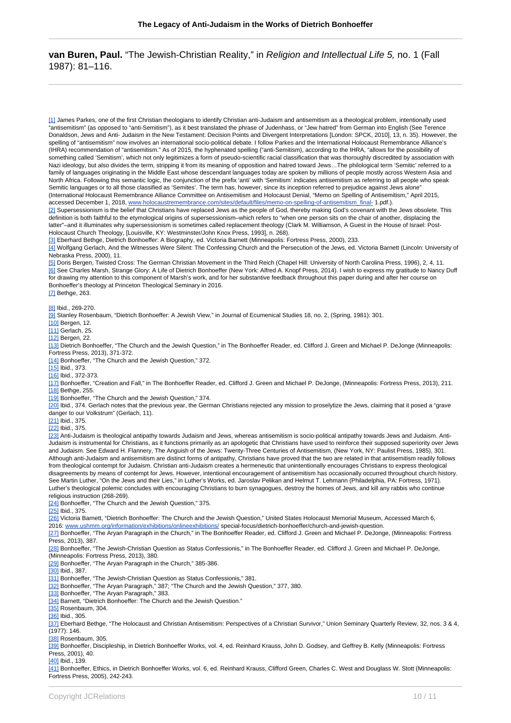### **van Buren, Paul.** "The Jewish-Christian Reality," in Religion and Intellectual Life 5, no. 1 (Fall 1987): 81–116.

[1] James Parkes, one of the first Christian theologians to identify Christian anti-Judaism and antisemitism as a theological problem, intentionally used "antisemitism" (as opposed to "anti-Semitism"), as it best translated the phrase of Judenhass, or "Jew hatred" from German into English (See Terence Donaldson, Jews and Anti- Judaism in the New Testament: Decision Points and Divergent Interpretations [London: SPCK, 2010], 13, n. 35). However, the spelling of "antisemitism" now involves an international socio-political debate. I follow Parkes and the International Holocaust Remembrance Alliance's (IHRA) recommendation of "antisemitism." As of 2015, the hyphenated spelling ("anti-Semitism), according to the IHRA, "allows for the possibility of something called 'Semitism', which not only legitimizes a form of pseudo-scientific racial classification that was thoroughly discredited by association with Nazi ideology, but also divides the term, stripping it from its meaning of opposition and hatred toward Jews…The philological term 'Semitic' referred to a family of languages originating in the Middle East whose descendant languages today are spoken by millions of people mostly across Western Asia and North Africa. Following this semantic logic, the conjunction of the prefix 'anti' with 'Semitism' indicates antisemitism as referring to all people who speak Semitic languages or to all those classified as 'Semites'. The term has, however, since its inception referred to prejudice against Jews alone" (International Holocaust Remembrance Alliance Committee on Antisemitism and Holocaust Denial, "Memo on Spelling of Antisemitism," April 2015, accessed December 1, 2018, [www.holocaustremembrance.com/sites/default/files/memo-on-spelling-of-antisemitism\\_final-](https://www.holocaustremembrance.com/sites/default/files/memo-on-spelling-of-antisemitism_final-) 1.pdf.).

[2] Supersessionism is the belief that Christians have replaced Jews as the people of God, thereby making God's covenant with the Jews obsolete. This definition is both faithful to the etymological origins of supersessionism–which refers to "when one person sits on the chair of another, displacing the latter"–and it illuminates why supersessionism is sometimes called replacement theology (Clark M. Williamson, A Guest in the House of Israel: Post-Holocaust Church Theology, [Louisville, KY: Westminster/John Knox Press, 1993], n. 268).

[3] Eberhard Bethge, Dietrich Bonhoeffer: A Biography, ed. Victoria Barnett (Minneapolis: Fortress Press, 2000), 233.

[4] Wolfgang Gerlach, And the Witnesses Were Silent: The Confessing Church and the Persecution of the Jews, ed. Victoria Barnett (Lincoln: University of Nebraska Press, 2000), 11.

[5] Doris Bergen, Twisted Cross: The German Christian Movement in the Third Reich (Chapel Hill: University of North Carolina Press, 1996), 2, 4, 11. [6] See Charles Marsh, Strange Glory: A Life of Dietrich Bonhoeffer (New York: Alfred A. Knopf Press, 2014). I wish to express my gratitude to Nancy Duff for drawing my attention to this component of Marsh's work, and for her substantive feedback throughout this paper during and after her course on Bonhoeffer's theology at Princeton Theological Seminary in 2016.

[7] Bethge, 263.

[8] Ibid., 269-270.

[9] Stanley Rosenbaum, "Dietrich Bonhoeffer: A Jewish View," in Journal of Ecumenical Studies 18, no. 2, (Spring, 1981): 301.

[10] Bergen, 12.

[11] Gerlach, 25.

[12] Bergen, 22.

[13] Dietrich Bonhoeffer, "The Church and the Jewish Question," in The Bonhoeffer Reader, ed. Clifford J. Green and Michael P. DeJonge (Minneapolis: Fortress Press, 2013), 371-372.

[14] Bonhoeffer, "The Church and the Jewish Question," 372.

[15] Ibid., 373.

[16] Ibid., 372-373.

[17] Bonhoeffer, "Creation and Fall," in The Bonhoeffer Reader, ed. Clifford J. Green and Michael P. DeJonge, (Minneapolis: Fortress Press, 2013), 211. [18] Bethge, 255.

[19] Bonhoeffer, "The Church and the Jewish Question," 374.

[20] Ibid., 374. Gerlach notes that the previous year, the German Christians rejected any mission to proselytize the Jews, claiming that it posed a "grave danger to our Volkstrum" (Gerlach, 11).

[21] Ibid., 375.

[22] Ibid., 375.

[23] Anti-Judaism is theological antipathy towards Judaism and Jews, whereas antisemitism is socio-political antipathy towards Jews and Judaism. Anti-Judaism is instrumental for Christians, as it functions primarily as an apologetic that Christians have used to reinforce their supposed superiority over Jews and Judaism. See Edward H. Flannery, The Anguish of the Jews: Twenty-Three Centuries of Antisemitism, (New York, NY: Paulist Press, 1985), 301. Although anti-Judaism and antisemitism are distinct forms of antipathy, Christians have proved that the two are related in that antisemitism readily follows from theological contempt for Judaism. Christian anti-Judaism creates a hermeneutic that unintentionally encourages Christians to express theological disagreements by means of contempt for Jews. However, intentional encouragement of antisemitism has occasionally occurred throughout church history. See Martin Luther, "On the Jews and their Lies," in Luther's Works, ed. Jaroslav Pelikan and Helmut T. Lehmann (Philadelphia, PA: Fortress, 1971). Luther's theological polemic concludes with encouraging Christians to burn synagogues, destroy the homes of Jews, and kill any rabbis who continue religious instruction (268-269).

[24] Bonhoeffer, "The Church and the Jewish Question," 375.

[25] Ibid., 375.

[26] Victoria Barnett, "Dietrich Bonhoeffer: The Church and the Jewish Question," United States Holocaust Memorial Museum, Accessed March 6, 2016: [www.ushmm.org/information/exhibitions/onlineexhibitions/](https://www.ushmm.org/information/exhibitions/onlineexhibitions/) special-focus/dietrich-bonhoeffer/church-and-jewish-question.

[27] Bonhoeffer, "The Aryan Paragraph in the Church," in The Bonhoeffer Reader, ed. Clifford J. Green and Michael P. DeJonge, (Minneapolis: Fortress Press, 2013), 387.

[28] Bonhoeffer, "The Jewish-Christian Question as Status Confessionis," in The Bonhoeffer Reader, ed. Clifford J. Green and Michael P. DeJonge, (Minneapolis: Fortress Press, 2013), 380.

[29] Bonhoeffer, "The Aryan Paragraph in the Church," 385-386.

[30] Ibid., 387.

[31] Bonhoeffer, "The Jewish-Christian Question as Status Confessionis," 381.

[32] Bonhoeffer, "The Aryan Paragraph," 387; "The Church and the Jewish Question," 377, 380.

[33] Bonhoeffer, "The Aryan Paragraph," 383.

[34] Barnett, "Dietrich Bonhoeffer: The Church and the Jewish Question."

[35] Rosenbaum, 304.

[36] Ibid., 305.

[37] Eberhard Bethge, "The Holocaust and Christian Antisemitism: Perspectives of a Christian Survivor," Union Seminary Quarterly Review, 32, nos. 3 & 4, (1977): 146.

[38] Rosenbaum, 305.

[39] Bonhoeffer, Discipleship, in Dietrich Bonhoeffer Works, vol. 4, ed. Reinhard Krauss, John D. Godsey, and Geffrey B. Kelly (Minneapolis: Fortress Press, 2001), 40.

[40] Ibid., 139.

[41] Bonhoeffer, Ethics, in Dietrich Bonhoeffer Works, vol. 6, ed. Reinhard Krauss, Clifford Green, Charles C. West and Douglass W. Stott (Minneapolis: Fortress Press, 2005), 242-243.